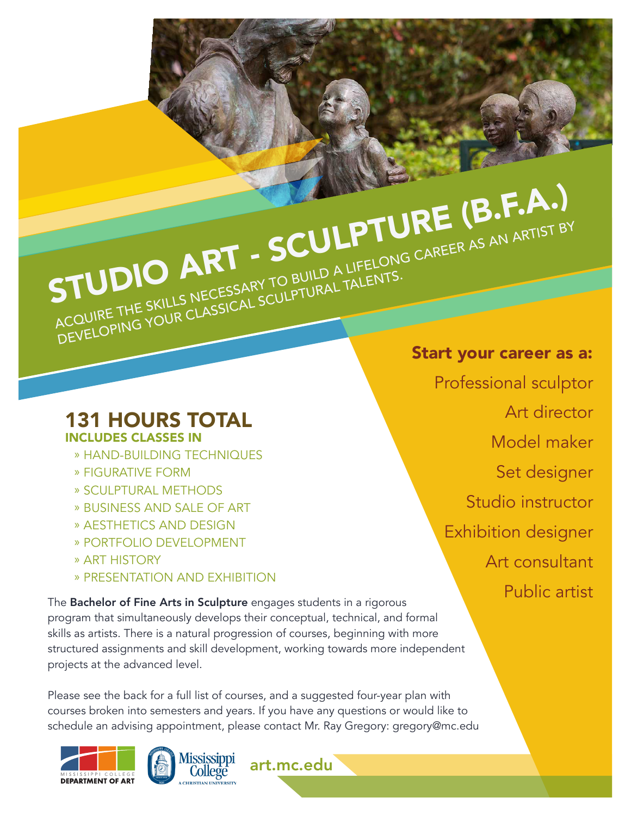STUDIO ART - SCULPTURE (B.F.A.) ACQUIRE THE SKILLS NECESSARY TO BUILD A LIFELONG CAREER AS AN ARTIST BY DEVELOPING YOUR CLASSICAL SCULPTURAL TALENTS.

131 HOURS TOTAL INCLUDES CLASSES IN

- » HAND-BUILDING TECHNIQUES
- » FIGURATIVE FORM
- » SCULPTURAL METHODS
- » BUSINESS AND SALE OF ART
- » AESTHETICS AND DESIGN
- » PORTFOLIO DEVELOPMENT
- » ART HISTORY
- » PRESENTATION AND EXHIBITION

The Bachelor of Fine Arts in Sculpture engages students in a rigorous program that simultaneously develops their conceptual, technical, and formal skills as artists. There is a natural progression of courses, beginning with more structured assignments and skill development, working towards more independent projects at the advanced level.

Please see the back for a full list of courses, and a suggested four-year plan with courses broken into semesters and years. If you have any questions or would like to schedule an advising appointment, please contact Mr. Ray Gregory: gregory@mc.edu

art.mc.edu





Start your career as a:

Professional sculptor Art director Model maker Set designer Studio instructor Exhibition designer Art consultant Public artist